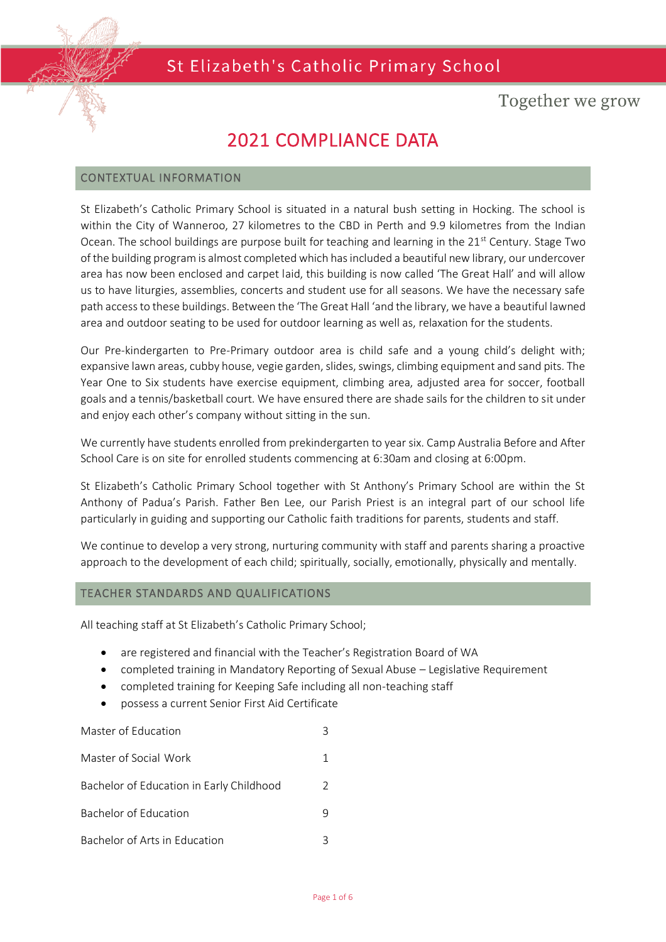

## Together we grow

## 2021 COMPLIANCE DATA

#### CONTEXTUAL INFORMATION

St Elizabeth's Catholic Primary School is situated in a natural bush setting in Hocking. The school is within the City of Wanneroo, 27 kilometres to the CBD in Perth and 9.9 kilometres from the Indian Ocean. The school buildings are purpose built for teaching and learning in the  $21^{st}$  Century. Stage Two of the building program is almost completed which has included a beautiful new library, our undercover area has now been enclosed and carpet laid, this building is now called 'The Great Hall' and will allow us to have liturgies, assemblies, concerts and student use for all seasons. We have the necessary safe path access to these buildings. Between the 'The Great Hall 'and the library, we have a beautiful lawned area and outdoor seating to be used for outdoor learning as well as, relaxation for the students.

Our Pre-kindergarten to Pre-Primary outdoor area is child safe and a young child's delight with; expansive lawn areas, cubby house, vegie garden, slides, swings, climbing equipment and sand pits. The Year One to Six students have exercise equipment, climbing area, adjusted area for soccer, football goals and a tennis/basketball court. We have ensured there are shade sails for the children to sit under and enjoy each other's company without sitting in the sun.

We currently have students enrolled from prekindergarten to year six. Camp Australia Before and After School Care is on site for enrolled students commencing at 6:30am and closing at 6:00pm.

St Elizabeth's Catholic Primary School together with St Anthony's Primary School are within the St Anthony of Padua's Parish. Father Ben Lee, our Parish Priest is an integral part of our school life particularly in guiding and supporting our Catholic faith traditions for parents, students and staff.

We continue to develop a very strong, nurturing community with staff and parents sharing a proactive approach to the development of each child; spiritually, socially, emotionally, physically and mentally.

#### TEACHER STANDARDS AND QUALIFICATIONS

All teaching staff at St Elizabeth's Catholic Primary School;

- are registered and financial with the Teacher's Registration Board of WA
- completed training in Mandatory Reporting of Sexual Abuse Legislative Requirement
- completed training for Keeping Safe including all non-teaching staff
- possess a current Senior First Aid Certificate

# Master of Education 3 Master of Social Work 1 Bachelor of Education in Early Childhood 2 Bachelor of Education 6.000 9 Bachelor of Arts in Education 3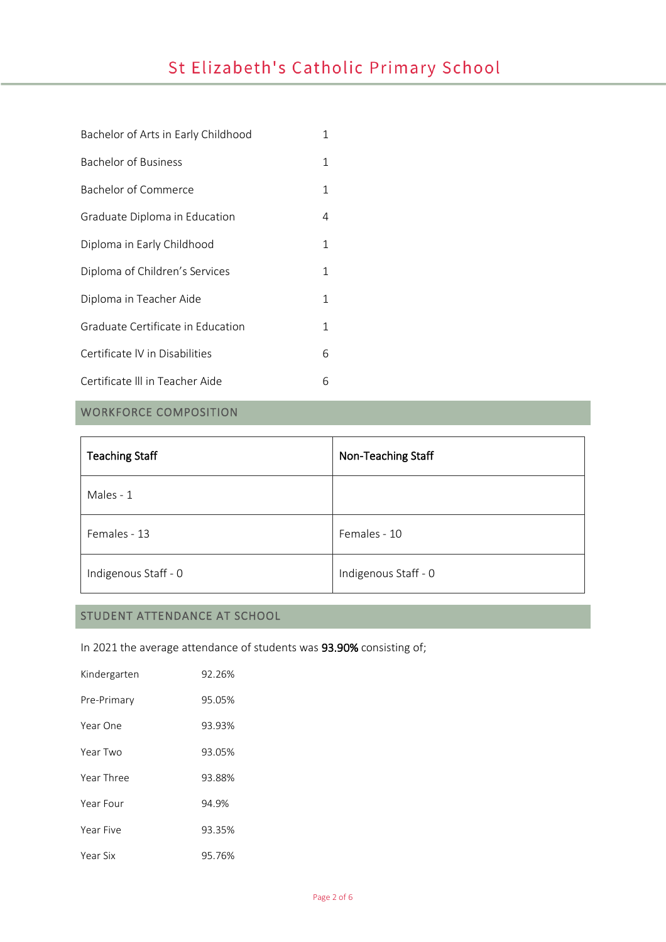| Bachelor of Arts in Early Childhood | 1 |  |
|-------------------------------------|---|--|
| Bachelor of Business                | 1 |  |
| Bachelor of Commerce                | 1 |  |
| Graduate Diploma in Education       | 4 |  |
| Diploma in Early Childhood          | 1 |  |
| Diploma of Children's Services      | 1 |  |
| Diploma in Teacher Aide             |   |  |
| Graduate Certificate in Education   | 1 |  |
| Certificate IV in Disabilities      | 6 |  |
| Certificate III in Teacher Aide     | 6 |  |

## WORKFORCE COMPOSITION

| <b>Teaching Staff</b> | Non-Teaching Staff   |
|-----------------------|----------------------|
| Males - 1             |                      |
| Females - 13          | Females - 10         |
| Indigenous Staff - 0  | Indigenous Staff - 0 |

## STUDENT ATTENDANCE AT SCHOOL

In 2021 the average attendance of students was 93.90% consisting of;

| Kindergarten | 92.26% |
|--------------|--------|
| Pre-Primary  | 95.05% |
| Year One     | 93.93% |
| Year Two     | 93.05% |
| Year Three   | 93.88% |
| Year Four    | 94.9%  |
| Year Five    | 93.35% |
| Year Six     | 95.76% |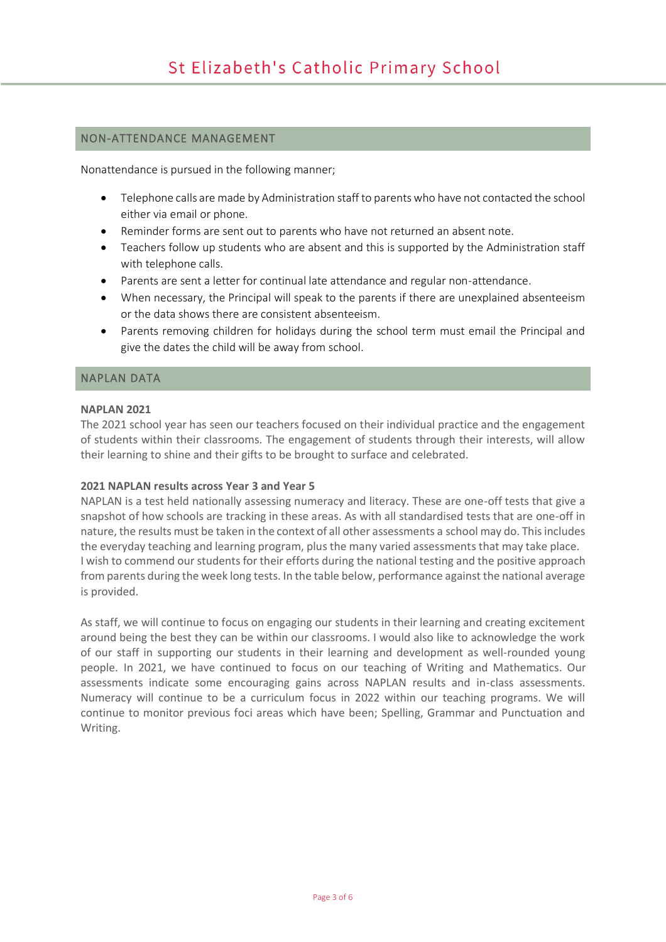#### NON-ATTENDANCE MANAGEMENT

Nonattendance is pursued in the following manner;

- Telephone calls are made by Administration staff to parents who have not contacted the school either via email or phone.
- Reminder forms are sent out to parents who have not returned an absent note.
- Teachers follow up students who are absent and this is supported by the Administration staff with telephone calls.
- Parents are sent a letter for continual late attendance and regular non-attendance.
- When necessary, the Principal will speak to the parents if there are unexplained absenteeism or the data shows there are consistent absenteeism.
- Parents removing children for holidays during the school term must email the Principal and give the dates the child will be away from school.

#### NAPLAN DATA

#### **NAPLAN 2021**

The 2021 school year has seen our teachers focused on their individual practice and the engagement of students within their classrooms. The engagement of students through their interests, will allow their learning to shine and their gifts to be brought to surface and celebrated.

#### **2021 NAPLAN results across Year 3 and Year 5**

NAPLAN is a test held nationally assessing numeracy and literacy. These are one-off tests that give a snapshot of how schools are tracking in these areas. As with all standardised tests that are one-off in nature, the results must be taken in the context of all other assessments a school may do. This includes the everyday teaching and learning program, plus the many varied assessments that may take place. I wish to commend our students for their efforts during the national testing and the positive approach from parents during the week long tests. In the table below, performance against the national average is provided.

As staff, we will continue to focus on engaging our students in their learning and creating excitement around being the best they can be within our classrooms. I would also like to acknowledge the work of our staff in supporting our students in their learning and development as well-rounded young people. In 2021, we have continued to focus on our teaching of Writing and Mathematics. Our assessments indicate some encouraging gains across NAPLAN results and in-class assessments. Numeracy will continue to be a curriculum focus in 2022 within our teaching programs. We will continue to monitor previous foci areas which have been; Spelling, Grammar and Punctuation and Writing.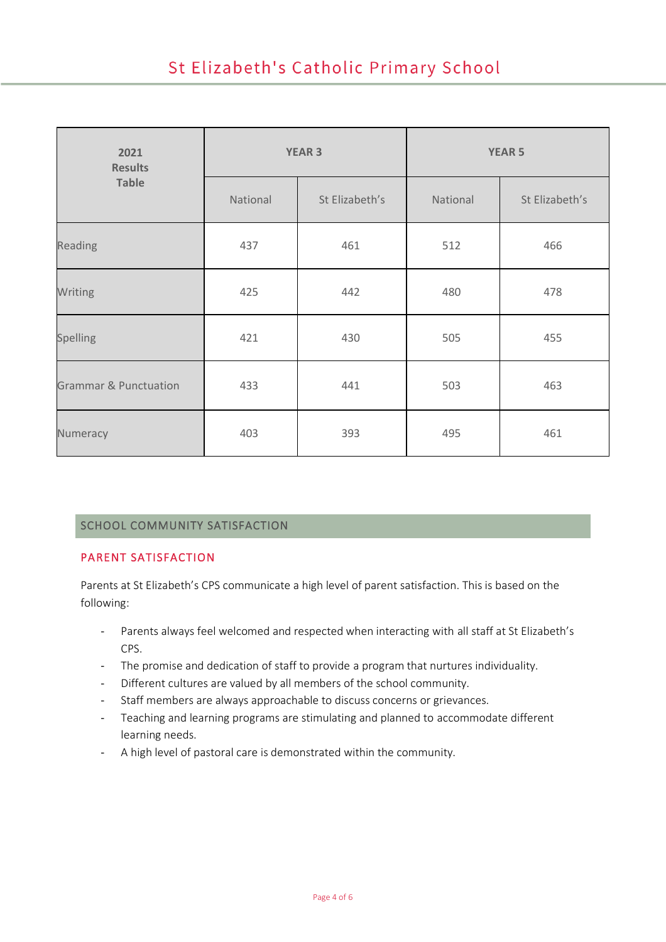| 2021<br><b>Results</b>           | <b>YEAR 3</b> |                | <b>YEAR 5</b> |                |
|----------------------------------|---------------|----------------|---------------|----------------|
| <b>Table</b>                     | National      | St Elizabeth's | National      | St Elizabeth's |
| Reading                          | 437           | 461            | 512           | 466            |
| Writing                          | 425           | 442            | 480           | 478            |
| Spelling                         | 421           | 430            | 505           | 455            |
| <b>Grammar &amp; Punctuation</b> | 433           | 441            | 503           | 463            |
| Numeracy                         | 403           | 393            | 495           | 461            |

## SCHOOL COMMUNITY SATISFACTION

### PARENT SATISFACTION

Parents at St Elizabeth's CPS communicate a high level of parent satisfaction. This is based on the following:

- Parents always feel welcomed and respected when interacting with all staff at St Elizabeth's CPS.
- The promise and dedication of staff to provide a program that nurtures individuality.
- Different cultures are valued by all members of the school community.
- Staff members are always approachable to discuss concerns or grievances.
- Teaching and learning programs are stimulating and planned to accommodate different learning needs.
- A high level of pastoral care is demonstrated within the community.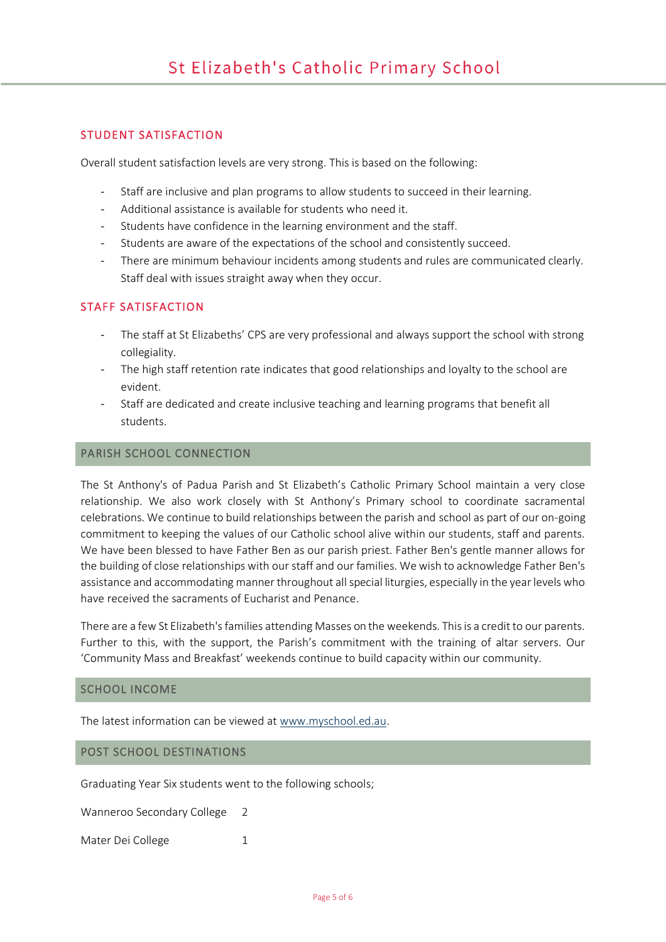#### STUDENT SATISFACTION

Overall student satisfaction levels are very strong. This is based on the following:

- Staff are inclusive and plan programs to allow students to succeed in their learning.
- Additional assistance is available for students who need it.
- Students have confidence in the learning environment and the staff.
- Students are aware of the expectations of the school and consistently succeed.
- There are minimum behaviour incidents among students and rules are communicated clearly. Staff deal with issues straight away when they occur.

#### STAFF SATISFACTION

- The staff at St Elizabeths' CPS are very professional and always support the school with strong collegiality.
- The high staff retention rate indicates that good relationships and loyalty to the school are evident.
- Staff are dedicated and create inclusive teaching and learning programs that benefit all students.

#### PARISH SCHOOL CONNECTION

The St Anthony's of Padua Parish and St Elizabeth's Catholic Primary School maintain a very close relationship. We also work closely with St Anthony's Primary school to coordinate sacramental celebrations. We continue to build relationships between the parish and school as part of our on-going commitment to keeping the values of our Catholic school alive within our students, staff and parents. We have been blessed to have Father Ben as our parish priest. Father Ben's gentle manner allows for the building of close relationships with our staff and our families. We wish to acknowledge Father Ben's assistance and accommodating manner throughout all special liturgies, especially in the year levels who have received the sacraments of Eucharist and Penance.

There are a few St Elizabeth's families attending Masses on the weekends. This is a credit to our parents. Further to this, with the support, the Parish's commitment with the training of altar servers. Our 'Community Mass and Breakfast' weekends continue to build capacity within our community.

#### SCHOOL INCOME

The latest information can be viewed at www.myschool.ed.au.

#### POST SCHOOL DESTINATIONS

Graduating Year Six students went to the following schools;

Wanneroo Secondary College 2

Mater Dei College 1